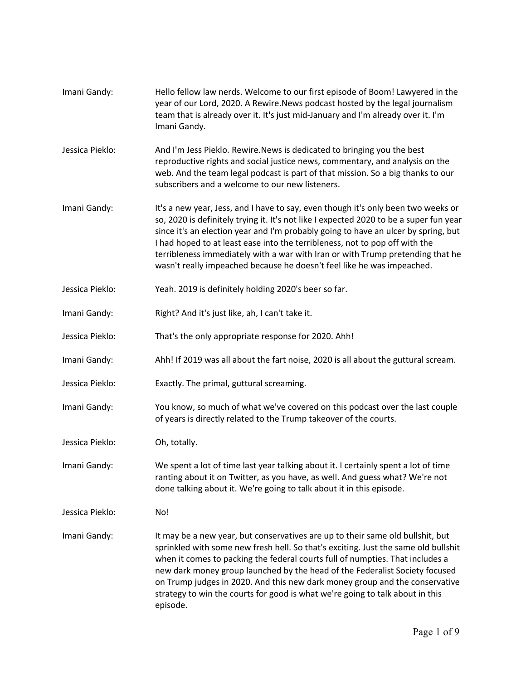| Imani Gandy:    | Hello fellow law nerds. Welcome to our first episode of Boom! Lawyered in the<br>year of our Lord, 2020. A Rewire. News podcast hosted by the legal journalism<br>team that is already over it. It's just mid-January and I'm already over it. I'm<br>Imani Gandy.                                                                                                                                                                                                                                               |
|-----------------|------------------------------------------------------------------------------------------------------------------------------------------------------------------------------------------------------------------------------------------------------------------------------------------------------------------------------------------------------------------------------------------------------------------------------------------------------------------------------------------------------------------|
| Jessica Pieklo: | And I'm Jess Pieklo. Rewire. News is dedicated to bringing you the best<br>reproductive rights and social justice news, commentary, and analysis on the<br>web. And the team legal podcast is part of that mission. So a big thanks to our<br>subscribers and a welcome to our new listeners.                                                                                                                                                                                                                    |
| Imani Gandy:    | It's a new year, Jess, and I have to say, even though it's only been two weeks or<br>so, 2020 is definitely trying it. It's not like I expected 2020 to be a super fun year<br>since it's an election year and I'm probably going to have an ulcer by spring, but<br>I had hoped to at least ease into the terribleness, not to pop off with the<br>terribleness immediately with a war with Iran or with Trump pretending that he<br>wasn't really impeached because he doesn't feel like he was impeached.     |
| Jessica Pieklo: | Yeah. 2019 is definitely holding 2020's beer so far.                                                                                                                                                                                                                                                                                                                                                                                                                                                             |
| Imani Gandy:    | Right? And it's just like, ah, I can't take it.                                                                                                                                                                                                                                                                                                                                                                                                                                                                  |
| Jessica Pieklo: | That's the only appropriate response for 2020. Ahh!                                                                                                                                                                                                                                                                                                                                                                                                                                                              |
| Imani Gandy:    | Ahh! If 2019 was all about the fart noise, 2020 is all about the guttural scream.                                                                                                                                                                                                                                                                                                                                                                                                                                |
| Jessica Pieklo: | Exactly. The primal, guttural screaming.                                                                                                                                                                                                                                                                                                                                                                                                                                                                         |
| Imani Gandy:    | You know, so much of what we've covered on this podcast over the last couple<br>of years is directly related to the Trump takeover of the courts.                                                                                                                                                                                                                                                                                                                                                                |
| Jessica Pieklo: | Oh, totally.                                                                                                                                                                                                                                                                                                                                                                                                                                                                                                     |
| Imani Gandy:    | We spent a lot of time last year talking about it. I certainly spent a lot of time<br>ranting about it on Twitter, as you have, as well. And guess what? We're not<br>done talking about it. We're going to talk about it in this episode.                                                                                                                                                                                                                                                                       |
| Jessica Pieklo: | No!                                                                                                                                                                                                                                                                                                                                                                                                                                                                                                              |
| Imani Gandy:    | It may be a new year, but conservatives are up to their same old bullshit, but<br>sprinkled with some new fresh hell. So that's exciting. Just the same old bullshit<br>when it comes to packing the federal courts full of numpties. That includes a<br>new dark money group launched by the head of the Federalist Society focused<br>on Trump judges in 2020. And this new dark money group and the conservative<br>strategy to win the courts for good is what we're going to talk about in this<br>episode. |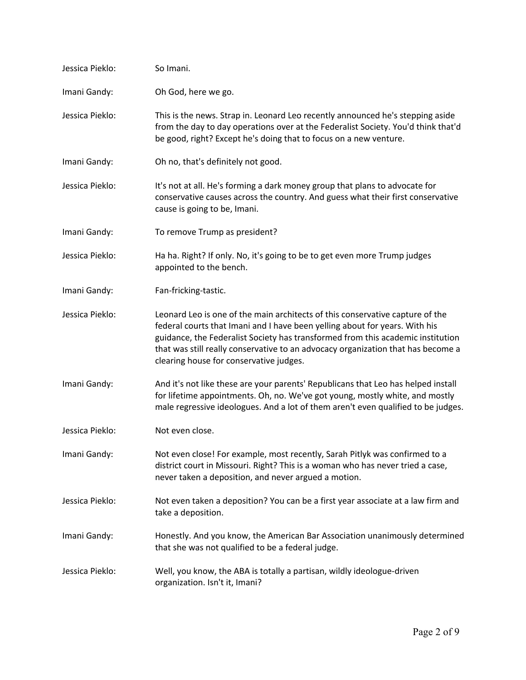| Jessica Pieklo: | So Imani.                                                                                                                                                                                                                                                                                                                                                                      |
|-----------------|--------------------------------------------------------------------------------------------------------------------------------------------------------------------------------------------------------------------------------------------------------------------------------------------------------------------------------------------------------------------------------|
| Imani Gandy:    | Oh God, here we go.                                                                                                                                                                                                                                                                                                                                                            |
| Jessica Pieklo: | This is the news. Strap in. Leonard Leo recently announced he's stepping aside<br>from the day to day operations over at the Federalist Society. You'd think that'd<br>be good, right? Except he's doing that to focus on a new venture.                                                                                                                                       |
| Imani Gandy:    | Oh no, that's definitely not good.                                                                                                                                                                                                                                                                                                                                             |
| Jessica Pieklo: | It's not at all. He's forming a dark money group that plans to advocate for<br>conservative causes across the country. And guess what their first conservative<br>cause is going to be, Imani.                                                                                                                                                                                 |
| Imani Gandy:    | To remove Trump as president?                                                                                                                                                                                                                                                                                                                                                  |
| Jessica Pieklo: | Ha ha. Right? If only. No, it's going to be to get even more Trump judges<br>appointed to the bench.                                                                                                                                                                                                                                                                           |
| Imani Gandy:    | Fan-fricking-tastic.                                                                                                                                                                                                                                                                                                                                                           |
| Jessica Pieklo: | Leonard Leo is one of the main architects of this conservative capture of the<br>federal courts that Imani and I have been yelling about for years. With his<br>guidance, the Federalist Society has transformed from this academic institution<br>that was still really conservative to an advocacy organization that has become a<br>clearing house for conservative judges. |
| Imani Gandy:    | And it's not like these are your parents' Republicans that Leo has helped install<br>for lifetime appointments. Oh, no. We've got young, mostly white, and mostly<br>male regressive ideologues. And a lot of them aren't even qualified to be judges.                                                                                                                         |
| Jessica Pieklo: | Not even close.                                                                                                                                                                                                                                                                                                                                                                |
| Imani Gandy:    | Not even close! For example, most recently, Sarah Pitlyk was confirmed to a<br>district court in Missouri. Right? This is a woman who has never tried a case,<br>never taken a deposition, and never argued a motion.                                                                                                                                                          |
| Jessica Pieklo: | Not even taken a deposition? You can be a first year associate at a law firm and<br>take a deposition.                                                                                                                                                                                                                                                                         |
| Imani Gandy:    | Honestly. And you know, the American Bar Association unanimously determined<br>that she was not qualified to be a federal judge.                                                                                                                                                                                                                                               |
| Jessica Pieklo: | Well, you know, the ABA is totally a partisan, wildly ideologue-driven<br>organization. Isn't it, Imani?                                                                                                                                                                                                                                                                       |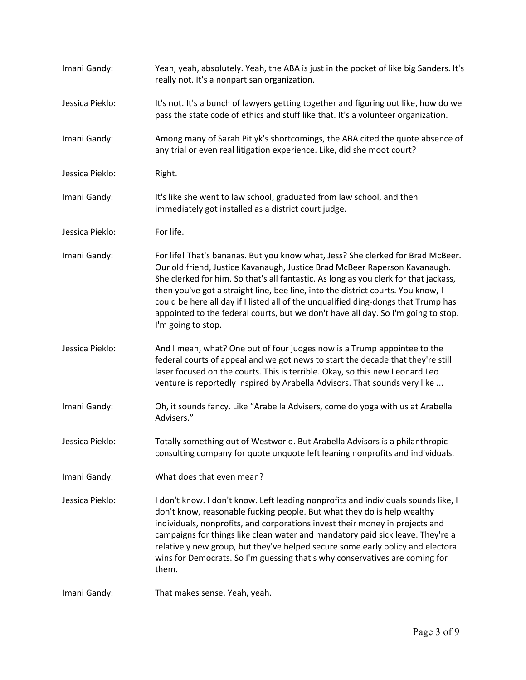| Imani Gandy:    | Yeah, yeah, absolutely. Yeah, the ABA is just in the pocket of like big Sanders. It's<br>really not. It's a nonpartisan organization.                                                                                                                                                                                                                                                                                                                                                                                                      |
|-----------------|--------------------------------------------------------------------------------------------------------------------------------------------------------------------------------------------------------------------------------------------------------------------------------------------------------------------------------------------------------------------------------------------------------------------------------------------------------------------------------------------------------------------------------------------|
| Jessica Pieklo: | It's not. It's a bunch of lawyers getting together and figuring out like, how do we<br>pass the state code of ethics and stuff like that. It's a volunteer organization.                                                                                                                                                                                                                                                                                                                                                                   |
| Imani Gandy:    | Among many of Sarah Pitlyk's shortcomings, the ABA cited the quote absence of<br>any trial or even real litigation experience. Like, did she moot court?                                                                                                                                                                                                                                                                                                                                                                                   |
| Jessica Pieklo: | Right.                                                                                                                                                                                                                                                                                                                                                                                                                                                                                                                                     |
| Imani Gandy:    | It's like she went to law school, graduated from law school, and then<br>immediately got installed as a district court judge.                                                                                                                                                                                                                                                                                                                                                                                                              |
| Jessica Pieklo: | For life.                                                                                                                                                                                                                                                                                                                                                                                                                                                                                                                                  |
| Imani Gandy:    | For life! That's bananas. But you know what, Jess? She clerked for Brad McBeer.<br>Our old friend, Justice Kavanaugh, Justice Brad McBeer Raperson Kavanaugh.<br>She clerked for him. So that's all fantastic. As long as you clerk for that jackass,<br>then you've got a straight line, bee line, into the district courts. You know, I<br>could be here all day if I listed all of the unqualified ding-dongs that Trump has<br>appointed to the federal courts, but we don't have all day. So I'm going to stop.<br>I'm going to stop. |
| Jessica Pieklo: | And I mean, what? One out of four judges now is a Trump appointee to the<br>federal courts of appeal and we got news to start the decade that they're still<br>laser focused on the courts. This is terrible. Okay, so this new Leonard Leo<br>venture is reportedly inspired by Arabella Advisors. That sounds very like                                                                                                                                                                                                                  |
| Imani Gandy:    | Oh, it sounds fancy. Like "Arabella Advisers, come do yoga with us at Arabella<br>Advisers."                                                                                                                                                                                                                                                                                                                                                                                                                                               |
| Jessica Pieklo: | Totally something out of Westworld. But Arabella Advisors is a philanthropic<br>consulting company for quote unquote left leaning nonprofits and individuals.                                                                                                                                                                                                                                                                                                                                                                              |
| Imani Gandy:    | What does that even mean?                                                                                                                                                                                                                                                                                                                                                                                                                                                                                                                  |
| Jessica Pieklo: | I don't know. I don't know. Left leading nonprofits and individuals sounds like, I<br>don't know, reasonable fucking people. But what they do is help wealthy<br>individuals, nonprofits, and corporations invest their money in projects and<br>campaigns for things like clean water and mandatory paid sick leave. They're a<br>relatively new group, but they've helped secure some early policy and electoral<br>wins for Democrats. So I'm guessing that's why conservatives are coming for<br>them.                                 |
| Imani Gandy:    | That makes sense. Yeah, yeah.                                                                                                                                                                                                                                                                                                                                                                                                                                                                                                              |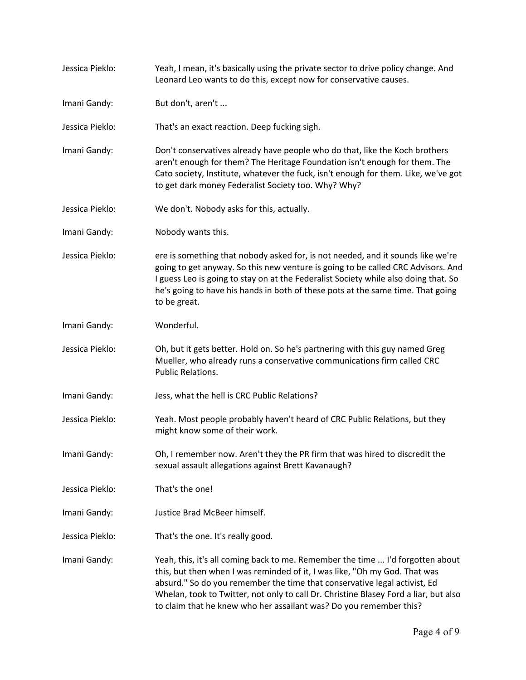Jessica Pieklo: Yeah, I mean, it's basically using the private sector to drive policy change. And Leonard Leo wants to do this, except now for conservative causes. Imani Gandy: But don't, aren't ... Jessica Pieklo: That's an exact reaction. Deep fucking sigh. Imani Gandy: Don't conservatives already have people who do that, like the Koch brothers aren't enough for them? The Heritage Foundation isn't enough for them. The Cato society, Institute, whatever the fuck, isn't enough for them. Like, we've got to get dark money Federalist Society too. Why? Why? Jessica Pieklo: We don't. Nobody asks for this, actually. Imani Gandy: Nobody wants this. Jessica Pieklo: ere is something that nobody asked for, is not needed, and it sounds like we're going to get anyway. So this new venture is going to be called CRC Advisors. And I guess Leo is going to stay on at the Federalist Society while also doing that. So he's going to have his hands in both of these pots at the same time. That going to be great. Imani Gandy: Wonderful. Jessica Pieklo: Oh, but it gets better. Hold on. So he's partnering with this guy named Greg Mueller, who already runs a conservative communications firm called CRC Public Relations. Imani Gandy: Jess, what the hell is CRC Public Relations? Jessica Pieklo: Yeah. Most people probably haven't heard of CRC Public Relations, but they might know some of their work. Imani Gandy: Oh, I remember now. Aren't they the PR firm that was hired to discredit the sexual assault allegations against Brett Kavanaugh? Jessica Pieklo: That's the one! Imani Gandy: Justice Brad McBeer himself. Jessica Pieklo: That's the one. It's really good. Imani Gandy: Yeah, this, it's all coming back to me. Remember the time ... I'd forgotten about this, but then when I was reminded of it, I was like, "Oh my God. That was absurd." So do you remember the time that conservative legal activist, Ed Whelan, took to Twitter, not only to call Dr. Christine Blasey Ford a liar, but also to claim that he knew who her assailant was? Do you remember this?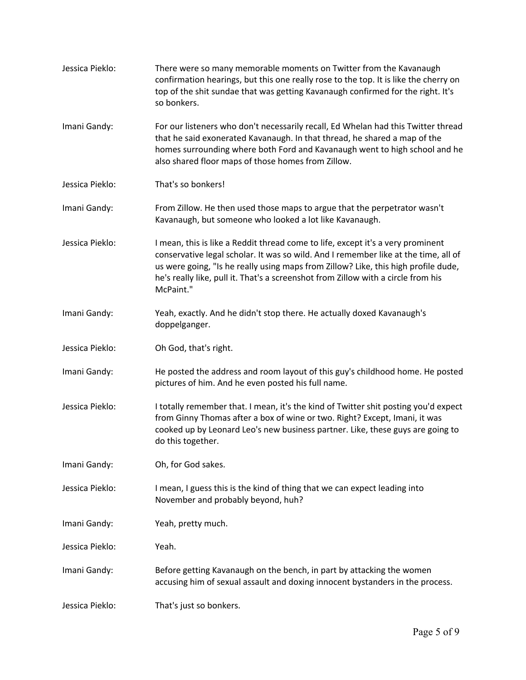| Jessica Pieklo: | There were so many memorable moments on Twitter from the Kavanaugh<br>confirmation hearings, but this one really rose to the top. It is like the cherry on<br>top of the shit sundae that was getting Kavanaugh confirmed for the right. It's<br>so bonkers.                                                                                                   |
|-----------------|----------------------------------------------------------------------------------------------------------------------------------------------------------------------------------------------------------------------------------------------------------------------------------------------------------------------------------------------------------------|
| Imani Gandy:    | For our listeners who don't necessarily recall, Ed Whelan had this Twitter thread<br>that he said exonerated Kavanaugh. In that thread, he shared a map of the<br>homes surrounding where both Ford and Kavanaugh went to high school and he<br>also shared floor maps of those homes from Zillow.                                                             |
| Jessica Pieklo: | That's so bonkers!                                                                                                                                                                                                                                                                                                                                             |
| Imani Gandy:    | From Zillow. He then used those maps to argue that the perpetrator wasn't<br>Kavanaugh, but someone who looked a lot like Kavanaugh.                                                                                                                                                                                                                           |
| Jessica Pieklo: | I mean, this is like a Reddit thread come to life, except it's a very prominent<br>conservative legal scholar. It was so wild. And I remember like at the time, all of<br>us were going, "Is he really using maps from Zillow? Like, this high profile dude,<br>he's really like, pull it. That's a screenshot from Zillow with a circle from his<br>McPaint." |
| Imani Gandy:    | Yeah, exactly. And he didn't stop there. He actually doxed Kavanaugh's<br>doppelganger.                                                                                                                                                                                                                                                                        |
| Jessica Pieklo: | Oh God, that's right.                                                                                                                                                                                                                                                                                                                                          |
| Imani Gandy:    | He posted the address and room layout of this guy's childhood home. He posted<br>pictures of him. And he even posted his full name.                                                                                                                                                                                                                            |
| Jessica Pieklo: | I totally remember that. I mean, it's the kind of Twitter shit posting you'd expect<br>from Ginny Thomas after a box of wine or two. Right? Except, Imani, it was<br>cooked up by Leonard Leo's new business partner. Like, these guys are going to<br>do this together.                                                                                       |
| Imani Gandy:    | Oh, for God sakes.                                                                                                                                                                                                                                                                                                                                             |
| Jessica Pieklo: | I mean, I guess this is the kind of thing that we can expect leading into<br>November and probably beyond, huh?                                                                                                                                                                                                                                                |
| Imani Gandy:    | Yeah, pretty much.                                                                                                                                                                                                                                                                                                                                             |
| Jessica Pieklo: | Yeah.                                                                                                                                                                                                                                                                                                                                                          |
| Imani Gandy:    | Before getting Kavanaugh on the bench, in part by attacking the women<br>accusing him of sexual assault and doxing innocent bystanders in the process.                                                                                                                                                                                                         |
| Jessica Pieklo: | That's just so bonkers.                                                                                                                                                                                                                                                                                                                                        |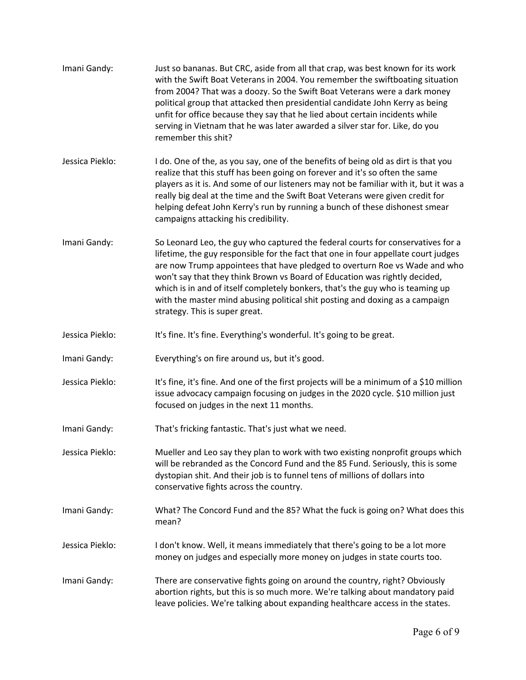| Imani Gandy:    | Just so bananas. But CRC, aside from all that crap, was best known for its work<br>with the Swift Boat Veterans in 2004. You remember the swiftboating situation<br>from 2004? That was a doozy. So the Swift Boat Veterans were a dark money<br>political group that attacked then presidential candidate John Kerry as being<br>unfit for office because they say that he lied about certain incidents while<br>serving in Vietnam that he was later awarded a silver star for. Like, do you<br>remember this shit?                 |
|-----------------|---------------------------------------------------------------------------------------------------------------------------------------------------------------------------------------------------------------------------------------------------------------------------------------------------------------------------------------------------------------------------------------------------------------------------------------------------------------------------------------------------------------------------------------|
| Jessica Pieklo: | I do. One of the, as you say, one of the benefits of being old as dirt is that you<br>realize that this stuff has been going on forever and it's so often the same<br>players as it is. And some of our listeners may not be familiar with it, but it was a<br>really big deal at the time and the Swift Boat Veterans were given credit for<br>helping defeat John Kerry's run by running a bunch of these dishonest smear<br>campaigns attacking his credibility.                                                                   |
| Imani Gandy:    | So Leonard Leo, the guy who captured the federal courts for conservatives for a<br>lifetime, the guy responsible for the fact that one in four appellate court judges<br>are now Trump appointees that have pledged to overturn Roe vs Wade and who<br>won't say that they think Brown vs Board of Education was rightly decided,<br>which is in and of itself completely bonkers, that's the guy who is teaming up<br>with the master mind abusing political shit posting and doxing as a campaign<br>strategy. This is super great. |
| Jessica Pieklo: | It's fine. It's fine. Everything's wonderful. It's going to be great.                                                                                                                                                                                                                                                                                                                                                                                                                                                                 |
| Imani Gandy:    | Everything's on fire around us, but it's good.                                                                                                                                                                                                                                                                                                                                                                                                                                                                                        |
| Jessica Pieklo: | It's fine, it's fine. And one of the first projects will be a minimum of a \$10 million<br>issue advocacy campaign focusing on judges in the 2020 cycle. \$10 million just<br>focused on judges in the next 11 months.                                                                                                                                                                                                                                                                                                                |
| Imani Gandy:    | That's fricking fantastic. That's just what we need.                                                                                                                                                                                                                                                                                                                                                                                                                                                                                  |
| Jessica Pieklo: | Mueller and Leo say they plan to work with two existing nonprofit groups which<br>will be rebranded as the Concord Fund and the 85 Fund. Seriously, this is some<br>dystopian shit. And their job is to funnel tens of millions of dollars into<br>conservative fights across the country.                                                                                                                                                                                                                                            |
| Imani Gandy:    | What? The Concord Fund and the 85? What the fuck is going on? What does this<br>mean?                                                                                                                                                                                                                                                                                                                                                                                                                                                 |
| Jessica Pieklo: | I don't know. Well, it means immediately that there's going to be a lot more<br>money on judges and especially more money on judges in state courts too.                                                                                                                                                                                                                                                                                                                                                                              |
| Imani Gandy:    | There are conservative fights going on around the country, right? Obviously<br>abortion rights, but this is so much more. We're talking about mandatory paid<br>leave policies. We're talking about expanding healthcare access in the states.                                                                                                                                                                                                                                                                                        |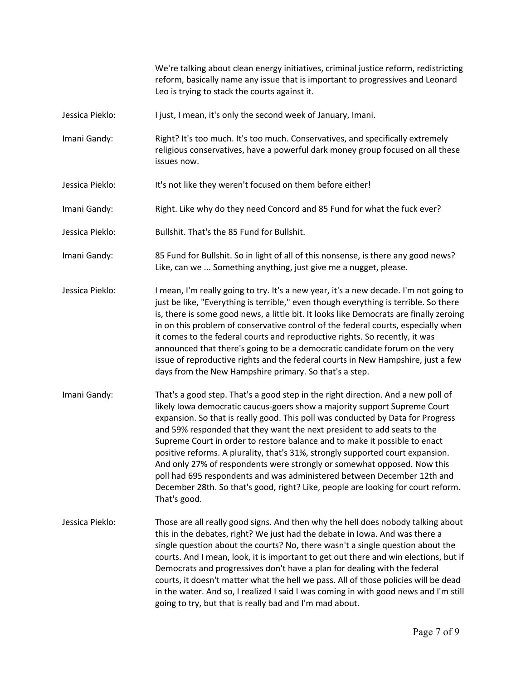We're talking about clean energy initiatives, criminal justice reform, redistricting reform, basically name any issue that is important to progressives and Leonard Leo is trying to stack the courts against it.

- Jessica Pieklo: I just, I mean, it's only the second week of January, Imani.
- Imani Gandy: Right? It's too much. It's too much. Conservatives, and specifically extremely religious conservatives, have a powerful dark money group focused on all these issues now.
- Jessica Pieklo: It's not like they weren't focused on them before either!
- Imani Gandy: Right. Like why do they need Concord and 85 Fund for what the fuck ever?
- Jessica Pieklo: Bullshit. That's the 85 Fund for Bullshit.
- Imani Gandy: 85 Fund for Bullshit. So in light of all of this nonsense, is there any good news? Like, can we ... Something anything, just give me a nugget, please.
- Jessica Pieklo: I mean, I'm really going to try. It's a new year, it's a new decade. I'm not going to just be like, "Everything is terrible," even though everything is terrible. So there is, there is some good news, a little bit. It looks like Democrats are finally zeroing in on this problem of conservative control of the federal courts, especially when it comes to the federal courts and reproductive rights. So recently, it was announced that there's going to be a democratic candidate forum on the very issue of reproductive rights and the federal courts in New Hampshire, just a few days from the New Hampshire primary. So that's a step.
- Imani Gandy: That's a good step. That's a good step in the right direction. And a new poll of likely Iowa democratic caucus-goers show a majority support Supreme Court expansion. So that is really good. This poll was conducted by Data for Progress and 59% responded that they want the next president to add seats to the Supreme Court in order to restore balance and to make it possible to enact positive reforms. A plurality, that's 31%, strongly supported court expansion. And only 27% of respondents were strongly or somewhat opposed. Now this poll had 695 respondents and was administered between December 12th and December 28th. So that's good, right? Like, people are looking for court reform. That's good.
- Jessica Pieklo: Those are all really good signs. And then why the hell does nobody talking about this in the debates, right? We just had the debate in Iowa. And was there a single question about the courts? No, there wasn't a single question about the courts. And I mean, look, it is important to get out there and win elections, but if Democrats and progressives don't have a plan for dealing with the federal courts, it doesn't matter what the hell we pass. All of those policies will be dead in the water. And so, I realized I said I was coming in with good news and I'm still going to try, but that is really bad and I'm mad about.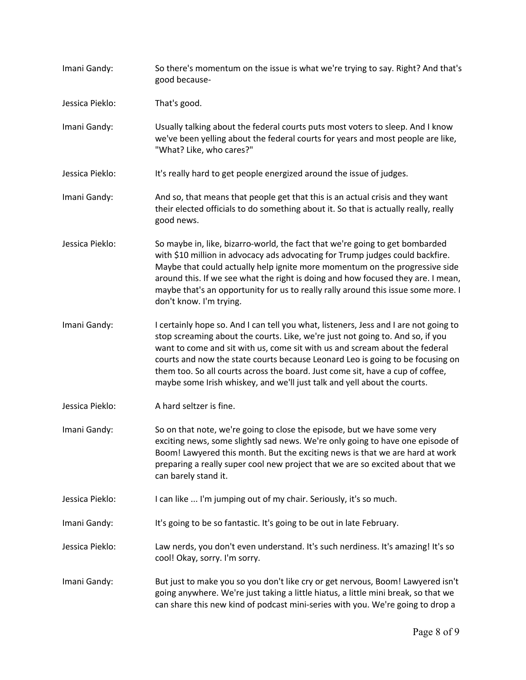- Imani Gandy: So there's momentum on the issue is what we're trying to say. Right? And that's good because-
- Jessica Pieklo: That's good.
- Imani Gandy: Usually talking about the federal courts puts most voters to sleep. And I know we've been yelling about the federal courts for years and most people are like, "What? Like, who cares?"
- Jessica Pieklo: It's really hard to get people energized around the issue of judges.
- Imani Gandy: And so, that means that people get that this is an actual crisis and they want their elected officials to do something about it. So that is actually really, really good news.
- Jessica Pieklo: So maybe in, like, bizarro-world, the fact that we're going to get bombarded with \$10 million in advocacy ads advocating for Trump judges could backfire. Maybe that could actually help ignite more momentum on the progressive side around this. If we see what the right is doing and how focused they are. I mean, maybe that's an opportunity for us to really rally around this issue some more. I don't know. I'm trying.
- Imani Gandy: I certainly hope so. And I can tell you what, listeners, Jess and I are not going to stop screaming about the courts. Like, we're just not going to. And so, if you want to come and sit with us, come sit with us and scream about the federal courts and now the state courts because Leonard Leo is going to be focusing on them too. So all courts across the board. Just come sit, have a cup of coffee, maybe some Irish whiskey, and we'll just talk and yell about the courts.
- Jessica Pieklo: A hard seltzer is fine.
- Imani Gandy: So on that note, we're going to close the episode, but we have some very exciting news, some slightly sad news. We're only going to have one episode of Boom! Lawyered this month. But the exciting news is that we are hard at work preparing a really super cool new project that we are so excited about that we can barely stand it.
- Jessica Pieklo: I can like ... I'm jumping out of my chair. Seriously, it's so much.
- Imani Gandy: It's going to be so fantastic. It's going to be out in late February.

Jessica Pieklo: Law nerds, you don't even understand. It's such nerdiness. It's amazing! It's so cool! Okay, sorry. I'm sorry.

Imani Gandy: But just to make you so you don't like cry or get nervous, Boom! Lawyered isn't going anywhere. We're just taking a little hiatus, a little mini break, so that we can share this new kind of podcast mini-series with you. We're going to drop a